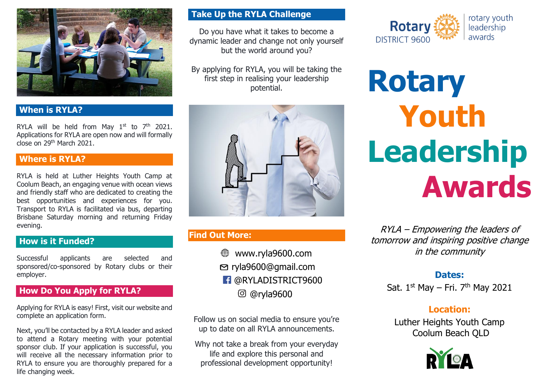

## **When is RYLA?**

RYLA will be held from May  $1^{st}$  to  $7^{th}$  2021. Applications for RYLA are open now and will formally close on 29th March 2021.

## **Where is RYLA?**

RYLA is held at Luther Heights Youth Camp at Coolum Beach, an engaging venue with ocean views and friendly staff who are dedicated to creating the best opportunities and experiences for you. Transport to RYLA is facilitated via bus, departing Brisbane Saturday morning and returning Friday evening.

## **How is it Funded?**

Successful applicants are selected and sponsored/co-sponsored by Rotary clubs or their employer.

# **How Do You Apply for RYLA?**

Applying for RYLA is easy! First, visit our website and complete an application form.

Next, you'll be contacted by a RYLA leader and asked to attend a Rotary meeting with your potential sponsor club. If your application is successful, you will receive all the necessary information prior to RYLA to ensure you are thoroughly prepared for a life changing week.

## **Take Up the RYLA Challenge**

Do you have what it takes to become a dynamic leader and change not only yourself but the world around you?

By applying for RYLA, you will be taking the first step in realising your leadership potential.



# **Find Out More:**

- www.ryla9600.com  $\bigoplus$ ryla9600@gmail.com
- **f** @RYLADISTRICT9600
	- @ryla9600

Follow us on social media to ensure you're up to date on all RYLA announcements.

Why not take a break from your everyday life and explore this personal and professional development opportunity!



**Rotary Youth Leadership Awards**

RYLA – Empowering the leaders of tomorrow and inspiring positive change in the community

## **Dates:**

Sat. 1<sup>st</sup> May – Fri. 7<sup>th</sup> May 2021

# **Location:**

Luther Heights Youth Camp Coolum Beach QLD